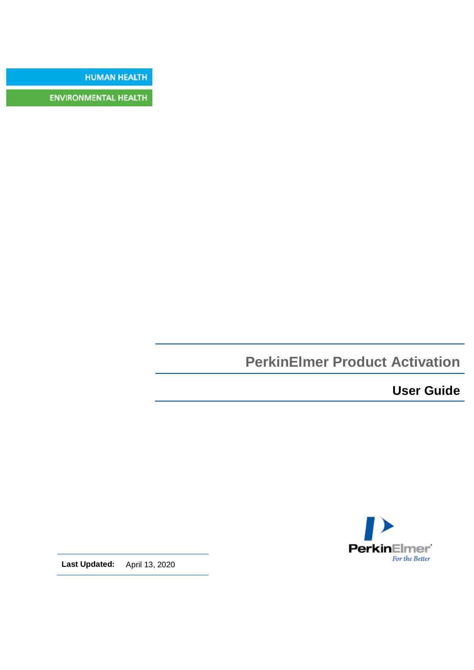**HUMAN HEALTH** 

**ENVIRONMENTAL HEALTH** 

# **PerkinElmer Product Activation**

**User Guide**



**Last Updated:** April 13, 2020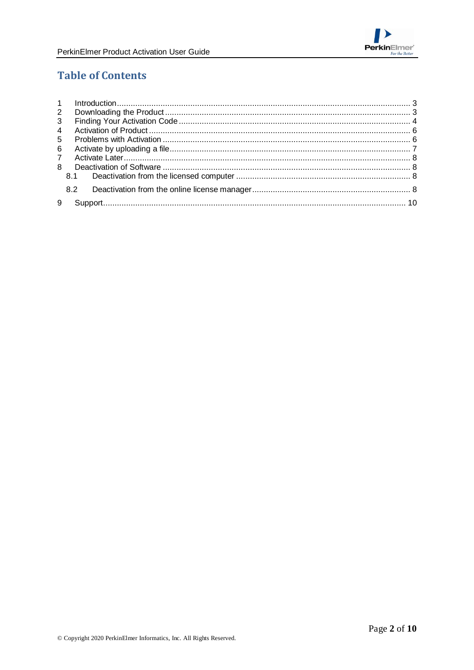

# **Table of Contents**

| $\mathbf{2}$   |     |  |
|----------------|-----|--|
| 3              |     |  |
| $\overline{4}$ |     |  |
| 5              |     |  |
| 6              |     |  |
| $\overline{7}$ |     |  |
| 8              |     |  |
|                | 8.1 |  |
|                | 8.2 |  |
| 9              |     |  |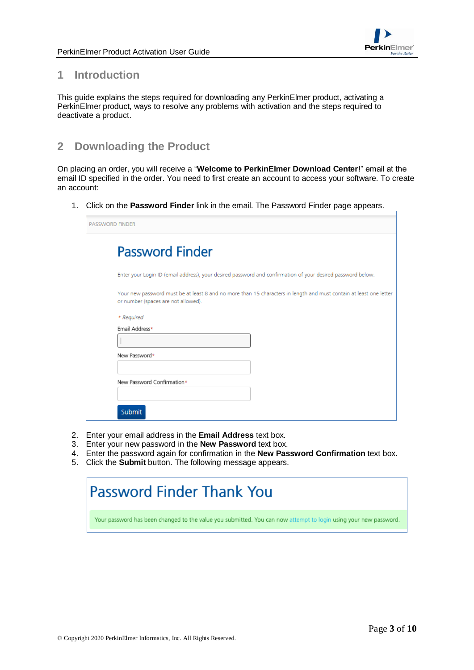

## <span id="page-2-0"></span>**1 Introduction**

This guide explains the steps required for downloading any PerkinElmer product, activating a PerkinElmer product, ways to resolve any problems with activation and the steps required to deactivate a product.

## <span id="page-2-1"></span>**2 Downloading the Product**

On placing an order, you will receive a "**Welcome to PerkinElmer Download Center!**" email at the email ID specified in the order. You need to first create an account to access your software. To create an account:

1. Click on the **Password Finder** link in the email. The Password Finder page appears.

|            | <b>Password Finder</b>                                                                                                                                    |
|------------|-----------------------------------------------------------------------------------------------------------------------------------------------------------|
|            | Enter your Login ID (email address), your desired password and confirmation of your desired password below.                                               |
|            | Your new password must be at least 8 and no more than 15 characters in length and must contain at least one letter<br>or number (spaces are not allowed). |
| * Required |                                                                                                                                                           |
|            | Email Address*                                                                                                                                            |
|            |                                                                                                                                                           |
|            | New Password*                                                                                                                                             |
|            |                                                                                                                                                           |
|            | New Password Confirmation*                                                                                                                                |
|            |                                                                                                                                                           |

- 2. Enter your email address in the **Email Address** text box.
- 3. Enter your new password in the **New Password** text box.
- 4. Enter the password again for confirmation in the **New Password Confirmation** text box.
- 5. Click the **Submit** button. The following message appears.

# **Password Finder Thank You**

Your password has been changed to the value you submitted. You can now attempt to login using your new password.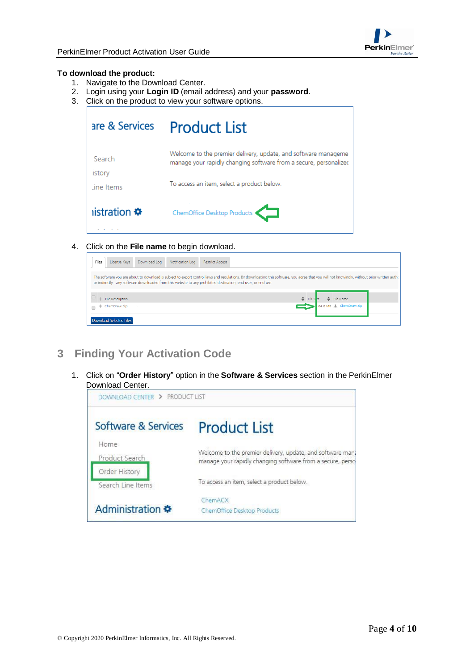

#### **To download the product:**

- 1. Navigate to the Download Center.
- 2. Login using your **Login ID** (email address) and your **password**.
- 3. Click on the product to view your software options.

|                               | are & Services Product List                                                                                                                                                       |
|-------------------------------|-----------------------------------------------------------------------------------------------------------------------------------------------------------------------------------|
| Search<br>istory<br>ine Items | Welcome to the premier delivery, update, and software manageme<br>manage your rapidly changing software from a secure, personalized<br>To access an item, select a product below. |
| istration <b>❖</b>            | ChemOffice Desktop Products                                                                                                                                                       |

4. Click on the **File name** to begin download.

| Files               | License Keys            | Download Log | Notification Log | <b>Restrict Access</b> |                                                                                                                                                                                                                                                                                                                                                  |  |
|---------------------|-------------------------|--------------|------------------|------------------------|--------------------------------------------------------------------------------------------------------------------------------------------------------------------------------------------------------------------------------------------------------------------------------------------------------------------------------------------------|--|
|                     |                         |              |                  |                        | The software you are about to download is subject to export control laws and regulations. By downloading this software, you agree that you will not knowingly, without prior written authout at a subject to export control al<br>or indirectly - any software downloaded from this website to any prohibited destination, end-user, or end-use. |  |
|                     | File Description        |              |                  |                        | File Name                                                                                                                                                                                                                                                                                                                                        |  |
| $\Box$ <sup>+</sup> | ChemDraw.zip            |              |                  |                        | 64.8 MB L ChemDraw.zip                                                                                                                                                                                                                                                                                                                           |  |
|                     | Download Selected Files |              |                  |                        |                                                                                                                                                                                                                                                                                                                                                  |  |

- <span id="page-3-0"></span>**3 Finding Your Activation Code**
	- 1. Click on "**Order History**" option in the **Software & Services** section in the PerkinElmer Download Center.

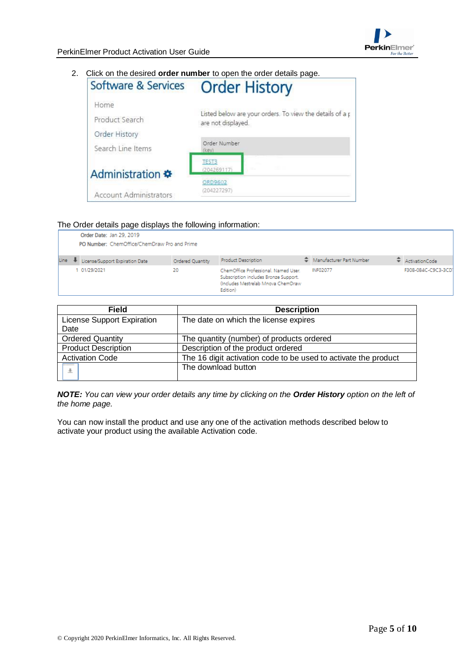#### 2. Click on the desired **order number** to open the order details page.

| Software & Services           | <b>Order History</b>                                                           |  |  |
|-------------------------------|--------------------------------------------------------------------------------|--|--|
| Home                          |                                                                                |  |  |
| Product Search                | Listed below are your orders. To view the details of a p<br>are not displayed. |  |  |
| Order History                 |                                                                                |  |  |
| Search Line Items             | Order Number<br>(key)                                                          |  |  |
| Administration *              | <b>TEST3</b><br>(204269117)                                                    |  |  |
|                               | ORD9602                                                                        |  |  |
| <b>Account Administrators</b> | (204227297)                                                                    |  |  |

#### The Order details page displays the following information:

|      | <u>.</u><br>Order Date: Jan 29, 2019<br>PO Number: ChemOffice/ChemDraw Pro and Prime |                  |                                                                                                                                  |  |                          |  |                    |
|------|--------------------------------------------------------------------------------------|------------------|----------------------------------------------------------------------------------------------------------------------------------|--|--------------------------|--|--------------------|
| Line | License/Support Expiration Date                                                      | Ordered Quantity | <b>Product Description</b>                                                                                                       |  | Manufacturer Part Number |  | ActivationCode     |
|      | 01/29/2021                                                                           | 20               | ChemOffice Professional, Named User,<br>Subscription includes Bronze Support.<br>(Includes Mestrelab Mnova ChemDraw)<br>Edition) |  | <b>INF02077</b>          |  | F308-0B4C-C9C3-3CD |

| <b>Field</b>                      | <b>Description</b>                                              |
|-----------------------------------|-----------------------------------------------------------------|
| <b>License Support Expiration</b> | The date on which the license expires                           |
| Date                              |                                                                 |
| <b>Ordered Quantity</b>           | The quantity (number) of products ordered                       |
| <b>Product Description</b>        | Description of the product ordered                              |
| <b>Activation Code</b>            | The 16 digit activation code to be used to activate the product |
| 业                                 | The download button                                             |
|                                   |                                                                 |

*NOTE: You can view your order details any time by clicking on the Order History option on the left of the home page.*

You can now install the product and use any one of the activation methods described below to activate your product using the available Activation code.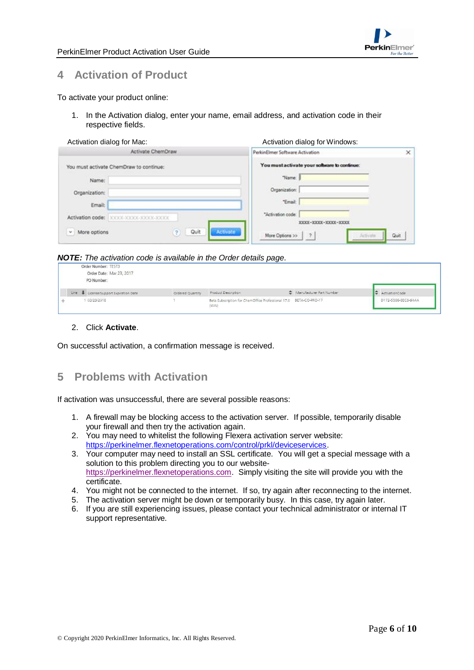

## <span id="page-5-0"></span>**4 Activation of Product**

#### To activate your product online:

1. In the Activation dialog, enter your name, email address, and activation code in their respective fields.

| Activation dialog for Mac: | Activation dialog for Windows: |
|----------------------------|--------------------------------|
|                            |                                |

|                                         | Activate ChemDraw       | PerkinElmer Software Activation                               | ×    |
|-----------------------------------------|-------------------------|---------------------------------------------------------------|------|
| You must activate ChemDraw to continue: |                         | You must activate your software to continue:                  |      |
| Name:                                   |                         | "Name:                                                        |      |
| Organization:                           |                         | Organization:                                                 |      |
| Email:                                  |                         | "Email:                                                       |      |
| Activation code:                        | XXXX-XXXXX-XXXXX-XXXXX  | "Activation code:<br>MODEL - MODEL - MODEL - MODEL            |      |
| More options<br>w.                      | Quit<br><b>Activate</b> | More Options >><br>$\overline{\mathcal{L}}$<br><b>Jefyste</b> | Quit |

#### *NOTE: The activation code is available in the Order details page.*

|      | Order Number: TEST3<br>Order Date: Mar 23, 2017<br>PO Number: |                  |                                                                            |                          |                     |
|------|---------------------------------------------------------------|------------------|----------------------------------------------------------------------------|--------------------------|---------------------|
| Line | License/Support Expiration Date                               | Ordered Quantity | Product Description                                                        | Manufacturer Part Number | ActivationCode      |
|      | 03/23/2018                                                    |                  | Beta Subscription for ChemOffice Professional 17.0 BETA-CO-PRO-17<br>(WIN) |                          | D172-5586-8EC8-94AA |

#### 2. Click **Activate**.

On successful activation, a confirmation message is received.

## <span id="page-5-1"></span>**5 Problems with Activation**

If activation was unsuccessful, there are several possible reasons:

- 1. A firewall may be blocking access to the activation server. If possible, temporarily disable your firewall and then try the activation again.
- 2. You may need to whitelist the following Flexera activation server website: [https://perkinelmer.flexnetoperations.com/control/prkl/deviceservices.](https://perkinelmer.flexnetoperations.com/control/prkl/deviceservices)
- 3. Your computer may need to install an SSL certificate. You will get a special message with a solution to this problem directing you to our website[https://perkinelmer.flexnetoperations.com.](https://perkinelmer.flexnetoperations.com/) Simply visiting the site will provide you with the certificate.
- 4. You might not be connected to the internet. If so, try again after reconnecting to the internet.
- 5. The activation server might be down or temporarily busy. In this case, try again later.
- 6. If you are still experiencing issues, please contact your technical administrator or internal IT support representative.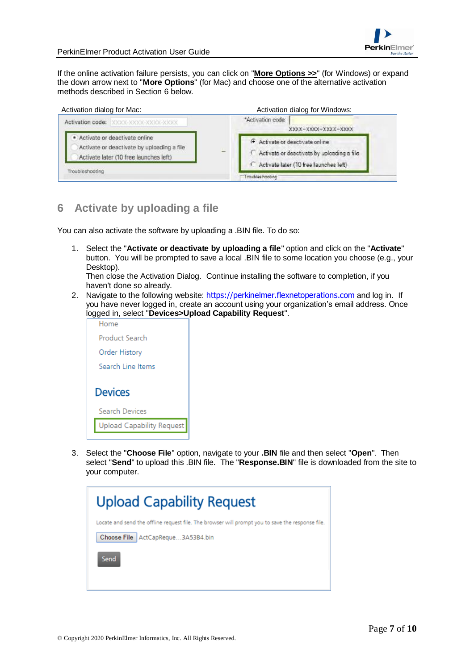

If the online activation failure persists, you can click on "**More Options >>**" (for Windows) or expand the down arrow next to "**More Options**" (for Mac) and choose one of the alternative activation methods described in Section 6 below.



# <span id="page-6-0"></span>**6 Activate by uploading a file**

You can also activate the software by uploading a .BIN file. To do so:

1. Select the "**Activate or deactivate by uploading a file**" option and click on the "**Activate**" button. You will be prompted to save a local .BIN file to some location you choose (e.g., your Desktop).

Then close the Activation Dialog. Continue installing the software to completion, if you haven't done so already.

2. Navigate to the following website: [https://perkinelmer.flexnetoperations.com](https://perkinelmer.flexnetoperations.com/) and log in. If you have never logged in, create an account using your organization's email address. Once logged in, select "**Devices>Upload Capability Request**".



3. Select the "**Choose File**" option, navigate to your **.BIN** file and then select "**Open**". Then select "**Send**" to upload this .BIN file. The "**Response.BIN**" file is downloaded from the site to your computer.

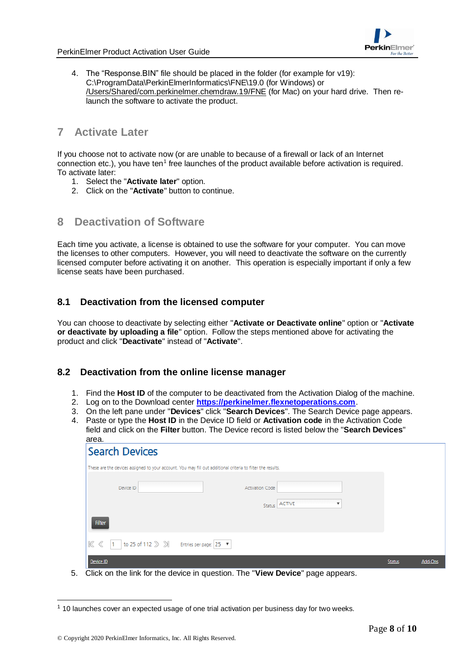

4. The "Response.BIN" file should be placed in the folder (for example for v19): C:\ProgramData\PerkinElmerInformatics\FNE\19.0 (for Windows) or /Users/Shared/com.perkinelmer.chemdraw.19/FNE (for Mac) on your hard drive. Then relaunch the software to activate the product.

## <span id="page-7-0"></span>**7 Activate Later**

If you choose not to activate now (or are unable to because of a firewall or lack of an Internet connection etc.), you have ten<sup>1</sup> free launches of the product available before activation is required. To activate later:

- 1. Select the "**Activate later**" option.
- 2. Click on the "**Activate**" button to continue.

## <span id="page-7-1"></span>**8 Deactivation of Software**

Each time you activate, a license is obtained to use the software for your computer. You can move the licenses to other computers. However, you will need to deactivate the software on the currently licensed computer before activating it on another. This operation is especially important if only a few license seats have been purchased.

## <span id="page-7-2"></span>**8.1 Deactivation from the licensed computer**

You can choose to deactivate by selecting either "**Activate or Deactivate online**" option or "**Activate or deactivate by uploading a file**" option. Follow the steps mentioned above for activating the product and click "**Deactivate**" instead of "**Activate**".

### <span id="page-7-3"></span>**8.2 Deactivation from the online license manager**

- 1. Find the **Host ID** of the computer to be deactivated from the Activation Dialog of the machine.
- 2. Log on to the Download center **[https://perkinelmer.flexnetoperations.com](https://perkinelmer.flexnetoperations.com/)**.
- 3. On the left pane under "**Devices**" click "**Search Devices**". The Search Device page appears.
- 4. Paste or type the **Host ID** in the Device ID field or **Activation code** in the Activation Code field and click on the **Filter** button. The Device record is listed below the "**Search Devices**" area.

| urvu.<br><b>Search Devices</b>                                                                              |               |         |
|-------------------------------------------------------------------------------------------------------------|---------------|---------|
| These are the devices assigned to your account. You may fill out additional criteria to filter the results. |               |         |
| <b>Activation Code</b><br>Device ID                                                                         |               |         |
| Status ACTIVE<br>$\overline{\mathbf{v}}$                                                                    |               |         |
| Filter                                                                                                      |               |         |
| 1 to 25 of 112 $\gg$ $\gg$ Entries per page: 25 $\blacktriangledown$<br>K <sup>2</sup>                      |               |         |
| Device ID                                                                                                   | <b>Status</b> | Add-Ons |

5. Click on the link for the device in question. The "**View Device**" page appears.

 $\overline{a}$ 

 $1$  10 launches cover an expected usage of one trial activation per business day for two weeks.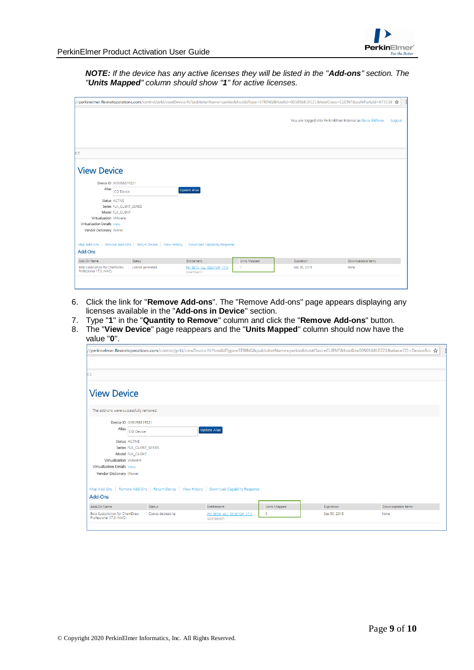

*NOTE: If the device has any active licenses they will be listed in the "Add-ons" section. The "Units Mapped" column should show "1" for active licenses.*

|                                                           |                                                                              |                                          |              |              | You are logged into PerkinElmer Internal as Navia Eldhose.<br>Logout |
|-----------------------------------------------------------|------------------------------------------------------------------------------|------------------------------------------|--------------|--------------|----------------------------------------------------------------------|
| <b>CE</b>                                                 |                                                                              |                                          |              |              |                                                                      |
| <b>View Device</b>                                        |                                                                              |                                          |              |              |                                                                      |
| Device ID 00505681F221<br>Alias                           | CO Device                                                                    | <b>Update Alias</b>                      |              |              |                                                                      |
| Status ACTIVE<br>Model FLX_CLIENT                         | Series FLX_CLIENT_SERIES                                                     |                                          |              |              |                                                                      |
| Virtualization VMware<br>Virtualization Details View      |                                                                              |                                          |              |              |                                                                      |
| Vendor Dictionary (None)                                  |                                                                              |                                          |              |              |                                                                      |
| Map Add-Ons<br>Add-Ons                                    | Remove Add-Ons   Return Device   View History   Download Capability Response |                                          |              |              |                                                                      |
| Add-On Name                                               | Status                                                                       | Entitlement                              | Units Mapped | Expiration   | Downloadable Items                                                   |
| Beta Subscription for ChemDraw<br>Professional 17.0 (MAC) | License generated                                                            | PKI BETA ALL DESKTOP 17.0<br>(204789437) | 1            | Sep 30, 2018 | None                                                                 |

- 6. Click the link for "**Remove Add-ons**". The "Remove Add-ons" page appears displaying any licenses available in the "**Add-ons in Device**" section.
- 7. Type "**1**" in the "**Quantity to Remove**" column and click the "**Remove Add-ons**" button.
- 8. The "**View Device**" page reappears and the "**Units Mapped**" column should now have the value "**0**".

|                                                           |                   |                                                                                            |              |              | //perkinelmer.flexnetoperations.com/control/prkl/viewDevice.lfs?hostIdType=STRING&publisherName=perkin&hostClass=CLIENT&hostId=00505681F221&alias=CO+Device&is ☆ |
|-----------------------------------------------------------|-------------------|--------------------------------------------------------------------------------------------|--------------|--------------|------------------------------------------------------------------------------------------------------------------------------------------------------------------|
|                                                           |                   |                                                                                            |              |              |                                                                                                                                                                  |
| CE.                                                       |                   |                                                                                            |              |              |                                                                                                                                                                  |
|                                                           |                   |                                                                                            |              |              |                                                                                                                                                                  |
| <b>View Device</b>                                        |                   |                                                                                            |              |              |                                                                                                                                                                  |
|                                                           |                   |                                                                                            |              |              |                                                                                                                                                                  |
| The add-ons were successfully removed.                    |                   |                                                                                            |              |              |                                                                                                                                                                  |
| Device ID 00505681F221                                    |                   |                                                                                            |              |              |                                                                                                                                                                  |
| Alias<br><b>CO Device</b>                                 |                   | <b>Update Alias</b>                                                                        |              |              |                                                                                                                                                                  |
| Status ACTIVE                                             |                   |                                                                                            |              |              |                                                                                                                                                                  |
| Series FLX_CLIENT_SERIES                                  |                   |                                                                                            |              |              |                                                                                                                                                                  |
| Model FLX CLIENT                                          |                   |                                                                                            |              |              |                                                                                                                                                                  |
| Virtualization VMware                                     |                   |                                                                                            |              |              |                                                                                                                                                                  |
| Virtualization Details View                               |                   |                                                                                            |              |              |                                                                                                                                                                  |
| Vendor Dictionary (None)                                  |                   |                                                                                            |              |              |                                                                                                                                                                  |
|                                                           |                   | Map Add-Ons   Remove Add-Ons   Return Device   View History   Download Capability Response |              |              |                                                                                                                                                                  |
| Add-Ons                                                   |                   |                                                                                            |              |              |                                                                                                                                                                  |
| Add-On Name                                               | <b>Status</b>     | Entitlement                                                                                | Units Mapped | Expiration   | Downloadable Items                                                                                                                                               |
| Beta Subscription for ChemDraw<br>Professional 17.0 (MAC) | Copies decreasing | PKI BETA ALL DESKTOP 17.0<br>(204789437)                                                   | $\circ$      | Sep 30, 2018 | None                                                                                                                                                             |